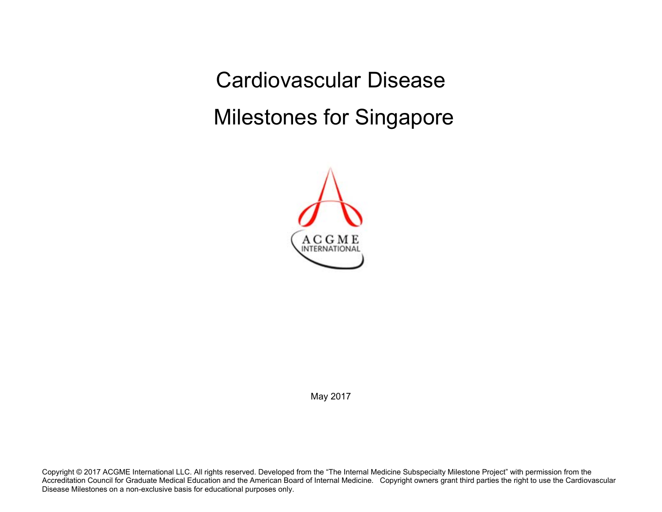Cardiovascular Disease Milestones for Singapore



May 2017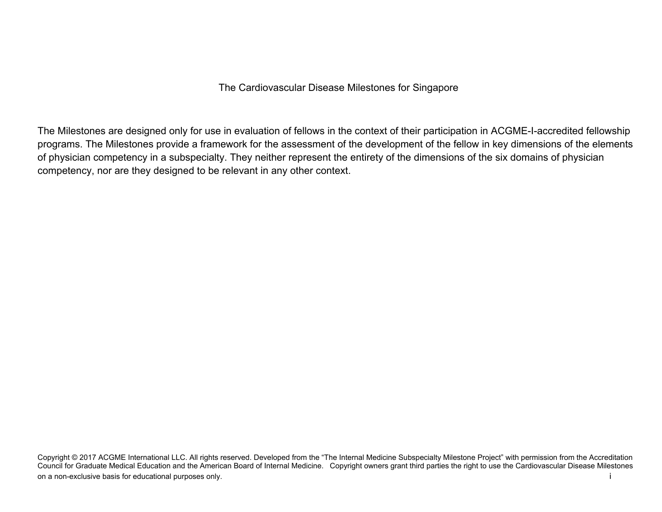The Cardiovascular Disease Milestones for Singapore

The Milestones are designed only for use in evaluation of fellows in the context of their participation in ACGME-I-accredited fellowship programs. The Milestones provide a framework for the assessment of the development of the fellow in key dimensions of the elements of physician competency in a subspecialty. They neither represent the entirety of the dimensions of the six domains of physician competency, nor are they designed to be relevant in any other context.

Copyright © 2017 ACGME International LLC. All rights reserved. Developed from the "The Internal Medicine Subspecialty Milestone Project" with permission from the Accreditation Council for Graduate Medical Education and the American Board of Internal Medicine. Copyright owners grant third parties the right to use the Cardiovascular Disease Milestones on a non-exclusive basis for educational purposes only. **i** interval to the state of the state of the state of the state of the state of the state of the state of the state of the state of the state of the state of the sta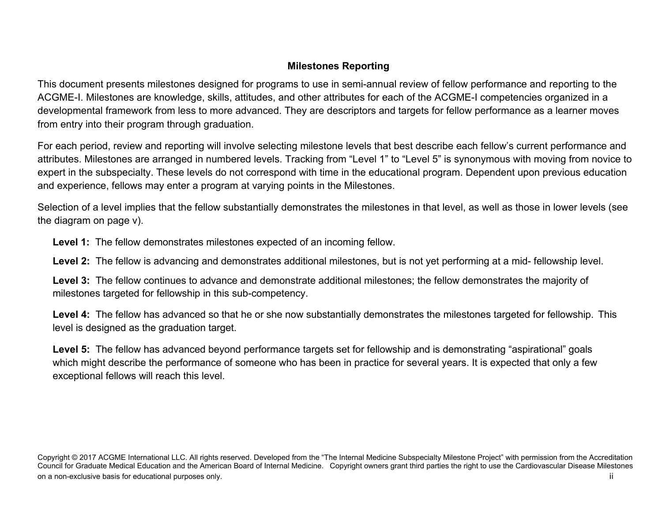## **Milestones Reporting**

This document presents milestones designed for programs to use in semi-annual review of fellow performance and reporting to the ACGME-I. Milestones are knowledge, skills, attitudes, and other attributes for each of the ACGME-I competencies organized in a developmental framework from less to more advanced. They are descriptors and targets for fellow performance as a learner moves from entry into their program through graduation.

For each period, review and reporting will involve selecting milestone levels that best describe each fellow's current performance and attributes. Milestones are arranged in numbered levels. Tracking from "Level 1" to "Level 5" is synonymous with moving from novice to expert in the subspecialty. These levels do not correspond with time in the educational program. Dependent upon previous education and experience, fellows may enter a program at varying points in the Milestones.

Selection of a level implies that the fellow substantially demonstrates the milestones in that level, as well as those in lower levels (see the diagram on page v).

**Level 1:** The fellow demonstrates milestones expected of an incoming fellow.

**Level 2:** The fellow is advancing and demonstrates additional milestones, but is not yet performing at a mid- fellowship level.

**Level 3:** The fellow continues to advance and demonstrate additional milestones; the fellow demonstrates the majority of milestones targeted for fellowship in this sub-competency.

**Level 4:** The fellow has advanced so that he or she now substantially demonstrates the milestones targeted for fellowship. This level is designed as the graduation target.

**Level 5:** The fellow has advanced beyond performance targets set for fellowship and is demonstrating "aspirational" goals which might describe the performance of someone who has been in practice for several years. It is expected that only a few exceptional fellows will reach this level.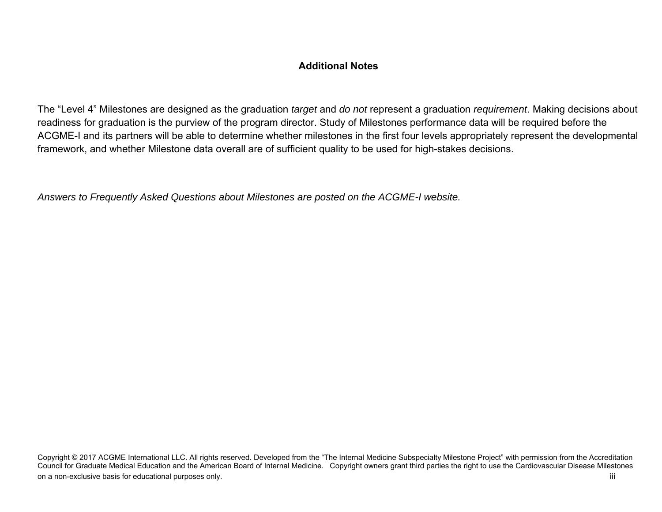## **Additional Notes**

The "Level 4" Milestones are designed as the graduation *target* and *do not* represent a graduation *requirement*. Making decisions about readiness for graduation is the purview of the program director. Study of Milestones performance data will be required before the ACGME-I and its partners will be able to determine whether milestones in the first four levels appropriately represent the developmental framework, and whether Milestone data overall are of sufficient quality to be used for high-stakes decisions.

*Answers to Frequently Asked Questions about Milestones are posted on the ACGME-I website.*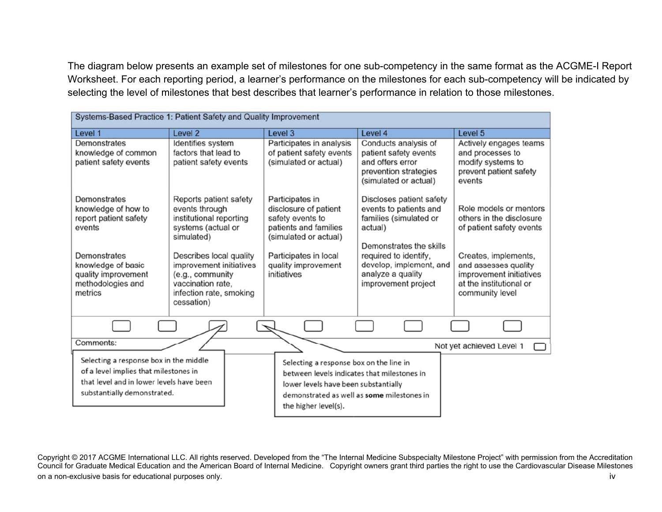The diagram below presents an example set of milestones for one sub-competency in the same format as the ACGME-I Report Worksheet. For each reporting period, a learner's performance on the milestones for each sub-competency will be indicated by selecting the level of milestones that best describes that learner's performance in relation to those milestones.

| Systems-Based Practice 1: Patient Safety and Quality Improvement                                                                                                    |                                                                                                                                                                                                                                                 |                                                                                                                                                                               |                                                                                                                                                                                                                    |                                                                                                                                                                                                         |
|---------------------------------------------------------------------------------------------------------------------------------------------------------------------|-------------------------------------------------------------------------------------------------------------------------------------------------------------------------------------------------------------------------------------------------|-------------------------------------------------------------------------------------------------------------------------------------------------------------------------------|--------------------------------------------------------------------------------------------------------------------------------------------------------------------------------------------------------------------|---------------------------------------------------------------------------------------------------------------------------------------------------------------------------------------------------------|
| Level 1                                                                                                                                                             | Level <sub>2</sub>                                                                                                                                                                                                                              | Level 3                                                                                                                                                                       | Level 4                                                                                                                                                                                                            | Level 5                                                                                                                                                                                                 |
| Demonstrates<br>knowledge of common<br>patient safety events                                                                                                        | Identifies system<br>factors that lead to<br>patient safety events                                                                                                                                                                              | Participates in analysis<br>of patient safety events<br>(simulated or actual)                                                                                                 | Conducts analysis of<br>patient safety events<br>and offers error<br>prevention strategies<br>(simulated or actual)                                                                                                | Actively engages teams<br>and processes to<br>modify systems to<br>prevent patient safety<br>events                                                                                                     |
| Demonstrates<br>knowledge of how to<br>report patient safety<br>events<br>Demonstrates<br>knowledge of basic<br>quality improvement<br>methodologies and<br>metrics | Reports patient safety<br>events through<br>institutional reporting<br>systems (actual or<br>simulated)<br>Describes local quality<br>improvement initiatives<br>(e.g., community<br>vaccination rate,<br>infection rate, smoking<br>cessation) | Participates in<br>disclosure of patient<br>safety events to<br>patients and families<br>(simulated or actual)<br>Participates in local<br>quality improvement<br>initiatives | Discloses patient safety<br>events to patients and<br>families (simulated or<br>actual)<br>Demonstrates the skills<br>required to identify,<br>develop, implement, and<br>analyze a quality<br>improvement project | Role models or mentors<br>others in the disclosure<br>of patient safety events<br>Creates, implements,<br>and assesses quality<br>improvement initiatives<br>at the institutional or<br>community level |
| Comments:                                                                                                                                                           |                                                                                                                                                                                                                                                 |                                                                                                                                                                               |                                                                                                                                                                                                                    |                                                                                                                                                                                                         |
| Selecting a response box in the middle<br>of a level implies that milestones in<br>that level and in lower levels have been<br>substantially demonstrated.          |                                                                                                                                                                                                                                                 | Selecting a response box on the line in<br>between levels indicates that milestones in<br>lower levels have been substantially<br>the higher level(s).                        | demonstrated as well as some milestones in                                                                                                                                                                         | Not yet achieved Level 1                                                                                                                                                                                |

Copyright © 2017 ACGME International LLC. All rights reserved. Developed from the "The Internal Medicine Subspecialty Milestone Project" with permission from the Accreditation Council for Graduate Medical Education and the American Board of Internal Medicine. Copyright owners grant third parties the right to use the Cardiovascular Disease Milestones on a non-exclusive basis for educational purposes only. **Example 20 and 20 and 20 and 20 and 20 and 20 and 20 and 20 and 20 and 20 and 20 and 20 and 20 and 20 and 20 and 20 and 20 and 20 and 20 and 20 and 20 and 20 and 20**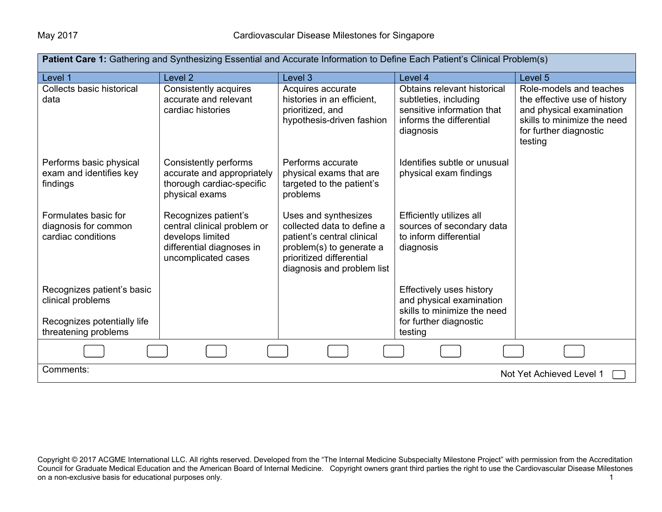| Patient Care 1: Gathering and Synthesizing Essential and Accurate Information to Define Each Patient's Clinical Problem(s) |                                                                                                                             |                                                                                                                                                                        |                                                                                                                             |                                                                                                                                                         |  |
|----------------------------------------------------------------------------------------------------------------------------|-----------------------------------------------------------------------------------------------------------------------------|------------------------------------------------------------------------------------------------------------------------------------------------------------------------|-----------------------------------------------------------------------------------------------------------------------------|---------------------------------------------------------------------------------------------------------------------------------------------------------|--|
| Level 1                                                                                                                    | Level <sub>2</sub>                                                                                                          | Level 3                                                                                                                                                                | Level 4                                                                                                                     | Level 5                                                                                                                                                 |  |
| Collects basic historical<br>data                                                                                          | Consistently acquires<br>accurate and relevant<br>cardiac histories                                                         | Acquires accurate<br>histories in an efficient,<br>prioritized, and<br>hypothesis-driven fashion                                                                       | Obtains relevant historical<br>subtleties, including<br>sensitive information that<br>informs the differential<br>diagnosis | Role-models and teaches<br>the effective use of history<br>and physical examination<br>skills to minimize the need<br>for further diagnostic<br>testing |  |
| Performs basic physical<br>exam and identifies key<br>findings                                                             | Consistently performs<br>accurate and appropriately<br>thorough cardiac-specific<br>physical exams                          | Performs accurate<br>physical exams that are<br>targeted to the patient's<br>problems                                                                                  | Identifies subtle or unusual<br>physical exam findings                                                                      |                                                                                                                                                         |  |
| Formulates basic for<br>diagnosis for common<br>cardiac conditions                                                         | Recognizes patient's<br>central clinical problem or<br>develops limited<br>differential diagnoses in<br>uncomplicated cases | Uses and synthesizes<br>collected data to define a<br>patient's central clinical<br>problem(s) to generate a<br>prioritized differential<br>diagnosis and problem list | Efficiently utilizes all<br>sources of secondary data<br>to inform differential<br>diagnosis                                |                                                                                                                                                         |  |
| Recognizes patient's basic<br>clinical problems                                                                            |                                                                                                                             |                                                                                                                                                                        | <b>Effectively uses history</b><br>and physical examination<br>skills to minimize the need                                  |                                                                                                                                                         |  |
| Recognizes potentially life<br>threatening problems                                                                        |                                                                                                                             |                                                                                                                                                                        | for further diagnostic<br>testing                                                                                           |                                                                                                                                                         |  |
|                                                                                                                            |                                                                                                                             |                                                                                                                                                                        |                                                                                                                             |                                                                                                                                                         |  |
| Comments:                                                                                                                  | Not Yet Achieved Level 1                                                                                                    |                                                                                                                                                                        |                                                                                                                             |                                                                                                                                                         |  |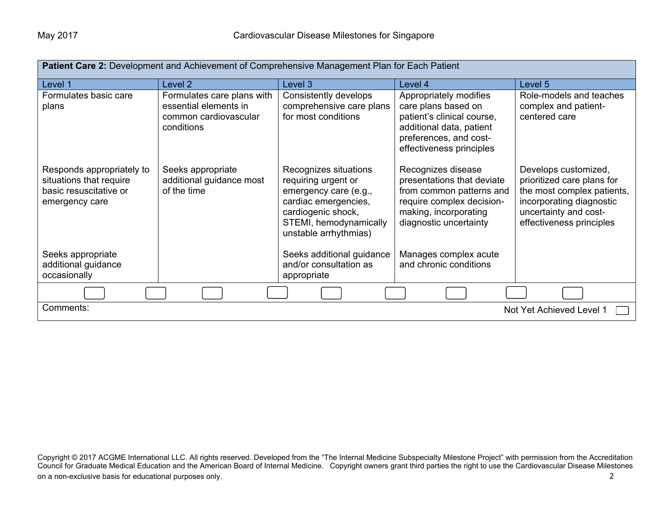| Patient Care 2: Development and Achievement of Comprehensive Management Plan for Each Patient    |                                                                                            |                                                                                                                                                                        |                                                                                                                                                               |                                                                                                                                                                   |
|--------------------------------------------------------------------------------------------------|--------------------------------------------------------------------------------------------|------------------------------------------------------------------------------------------------------------------------------------------------------------------------|---------------------------------------------------------------------------------------------------------------------------------------------------------------|-------------------------------------------------------------------------------------------------------------------------------------------------------------------|
| Level 1                                                                                          | Level 2                                                                                    | Level 3                                                                                                                                                                | Level 4                                                                                                                                                       | Level 5                                                                                                                                                           |
| Formulates basic care<br>plans                                                                   | Formulates care plans with<br>essential elements in<br>common cardiovascular<br>conditions | Consistently develops<br>comprehensive care plans<br>for most conditions                                                                                               | Appropriately modifies<br>care plans based on<br>patient's clinical course,<br>additional data, patient<br>preferences, and cost-<br>effectiveness principles | Role-models and teaches<br>complex and patient-<br>centered care                                                                                                  |
| Responds appropriately to<br>situations that require<br>basic resuscitative or<br>emergency care | Seeks appropriate<br>additional guidance most<br>of the time                               | Recognizes situations<br>requiring urgent or<br>emergency care (e.g.,<br>cardiac emergencies,<br>cardiogenic shock,<br>STEMI, hemodynamically<br>unstable arrhythmias) | Recognizes disease<br>presentations that deviate<br>from common patterns and<br>require complex decision-<br>making, incorporating<br>diagnostic uncertainty  | Develops customized,<br>prioritized care plans for<br>the most complex patients,<br>incorporating diagnostic<br>uncertainty and cost-<br>effectiveness principles |
| Seeks appropriate<br>additional guidance<br>occasionally                                         |                                                                                            | Seeks additional guidance<br>and/or consultation as<br>appropriate                                                                                                     | Manages complex acute<br>and chronic conditions                                                                                                               |                                                                                                                                                                   |
|                                                                                                  |                                                                                            |                                                                                                                                                                        |                                                                                                                                                               |                                                                                                                                                                   |
| Comments:                                                                                        |                                                                                            |                                                                                                                                                                        |                                                                                                                                                               | Not Yet Achieved Level 1                                                                                                                                          |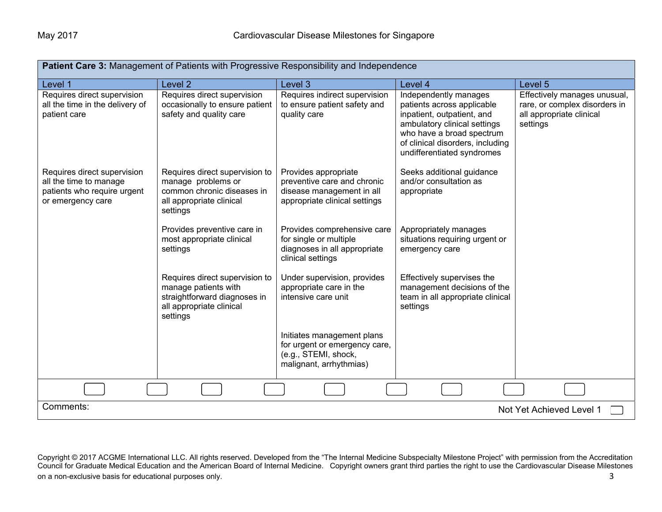| Patient Care 3: Management of Patients with Progressive Responsibility and Independence                   |                                                                                                                                |                                                                                                                   |                                                                                                                                                                                                                  |                                                                                                       |
|-----------------------------------------------------------------------------------------------------------|--------------------------------------------------------------------------------------------------------------------------------|-------------------------------------------------------------------------------------------------------------------|------------------------------------------------------------------------------------------------------------------------------------------------------------------------------------------------------------------|-------------------------------------------------------------------------------------------------------|
| Level 1                                                                                                   | Level <sub>2</sub>                                                                                                             | Level 3                                                                                                           | Level 4                                                                                                                                                                                                          | Level 5                                                                                               |
| Requires direct supervision<br>all the time in the delivery of<br>patient care                            | Requires direct supervision<br>occasionally to ensure patient<br>safety and quality care                                       | Requires indirect supervision<br>to ensure patient safety and<br>quality care                                     | Independently manages<br>patients across applicable<br>inpatient, outpatient, and<br>ambulatory clinical settings<br>who have a broad spectrum<br>of clinical disorders, including<br>undifferentiated syndromes | Effectively manages unusual,<br>rare, or complex disorders in<br>all appropriate clinical<br>settings |
| Requires direct supervision<br>all the time to manage<br>patients who require urgent<br>or emergency care | Requires direct supervision to<br>manage problems or<br>common chronic diseases in<br>all appropriate clinical<br>settings     | Provides appropriate<br>preventive care and chronic<br>disease management in all<br>appropriate clinical settings | Seeks additional guidance<br>and/or consultation as<br>appropriate                                                                                                                                               |                                                                                                       |
|                                                                                                           | Provides preventive care in<br>most appropriate clinical<br>settings                                                           | Provides comprehensive care<br>for single or multiple<br>diagnoses in all appropriate<br>clinical settings        | Appropriately manages<br>situations requiring urgent or<br>emergency care                                                                                                                                        |                                                                                                       |
|                                                                                                           | Requires direct supervision to<br>manage patients with<br>straightforward diagnoses in<br>all appropriate clinical<br>settings | Under supervision, provides<br>appropriate care in the<br>intensive care unit                                     | Effectively supervises the<br>management decisions of the<br>team in all appropriate clinical<br>settings                                                                                                        |                                                                                                       |
|                                                                                                           |                                                                                                                                | Initiates management plans<br>for urgent or emergency care,<br>(e.g., STEMI, shock,<br>malignant, arrhythmias)    |                                                                                                                                                                                                                  |                                                                                                       |
|                                                                                                           |                                                                                                                                |                                                                                                                   |                                                                                                                                                                                                                  |                                                                                                       |
| Comments:                                                                                                 |                                                                                                                                |                                                                                                                   |                                                                                                                                                                                                                  | Not Yet Achieved Level 1                                                                              |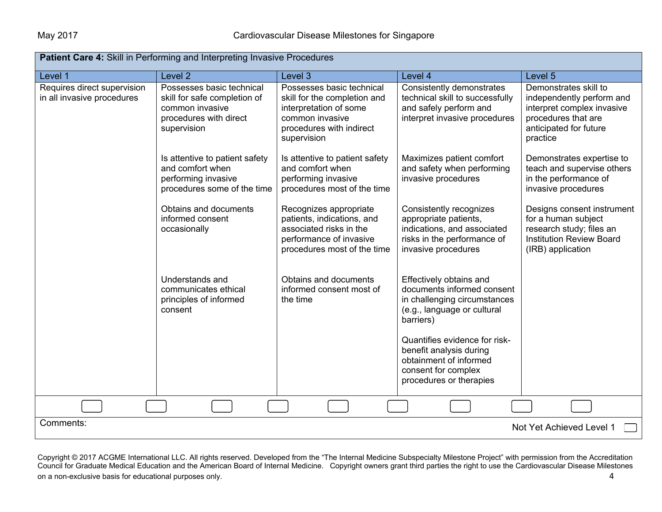| <b>Patient Care 4:</b> Skill in Performing and Interpreting Invasive Procedures |                                                                                                                       |                                                                                                                                                   |                                                                                                                                                                                                                                                |                                                                                                                                               |  |
|---------------------------------------------------------------------------------|-----------------------------------------------------------------------------------------------------------------------|---------------------------------------------------------------------------------------------------------------------------------------------------|------------------------------------------------------------------------------------------------------------------------------------------------------------------------------------------------------------------------------------------------|-----------------------------------------------------------------------------------------------------------------------------------------------|--|
| Level 1                                                                         | Level 2                                                                                                               | Level 3                                                                                                                                           | Level 4                                                                                                                                                                                                                                        | Level 5                                                                                                                                       |  |
| Requires direct supervision<br>in all invasive procedures                       | Possesses basic technical<br>skill for safe completion of<br>common invasive<br>procedures with direct<br>supervision | Possesses basic technical<br>skill for the completion and<br>interpretation of some<br>common invasive<br>procedures with indirect<br>supervision | Consistently demonstrates<br>technical skill to successfully<br>and safely perform and<br>interpret invasive procedures                                                                                                                        | Demonstrates skill to<br>independently perform and<br>interpret complex invasive<br>procedures that are<br>anticipated for future<br>practice |  |
|                                                                                 | Is attentive to patient safety<br>and comfort when<br>performing invasive<br>procedures some of the time              | Is attentive to patient safety<br>and comfort when<br>performing invasive<br>procedures most of the time                                          | Maximizes patient comfort<br>and safety when performing<br>invasive procedures                                                                                                                                                                 | Demonstrates expertise to<br>teach and supervise others<br>in the performance of<br>invasive procedures                                       |  |
|                                                                                 | Obtains and documents<br>informed consent<br>occasionally                                                             | Recognizes appropriate<br>patients, indications, and<br>associated risks in the<br>performance of invasive<br>procedures most of the time         | Consistently recognizes<br>appropriate patients,<br>indications, and associated<br>risks in the performance of<br>invasive procedures                                                                                                          | Designs consent instrument<br>for a human subject<br>research study; files an<br><b>Institution Review Board</b><br>(IRB) application         |  |
|                                                                                 | Understands and<br>communicates ethical<br>principles of informed<br>consent                                          | Obtains and documents<br>informed consent most of<br>the time                                                                                     | Effectively obtains and<br>documents informed consent<br>in challenging circumstances<br>(e.g., language or cultural<br>barriers)<br>Quantifies evidence for risk-<br>benefit analysis during<br>obtainment of informed<br>consent for complex |                                                                                                                                               |  |
|                                                                                 |                                                                                                                       |                                                                                                                                                   | procedures or therapies                                                                                                                                                                                                                        |                                                                                                                                               |  |
| Comments:<br>Not Yet Achieved Level 1                                           |                                                                                                                       |                                                                                                                                                   |                                                                                                                                                                                                                                                |                                                                                                                                               |  |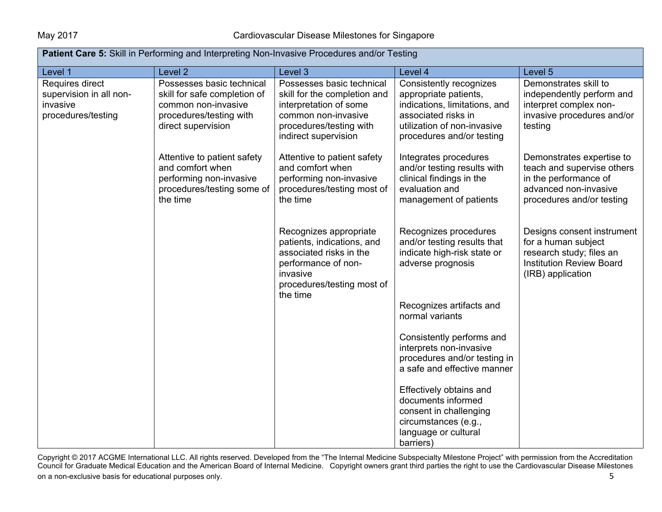| Patient Care 5: Skill in Performing and Interpreting Non-Invasive Procedures and/or Testing |                                                                                                                                   |                                                                                                                                                               |                                                                                                                                                                      |                                                                                                                                        |
|---------------------------------------------------------------------------------------------|-----------------------------------------------------------------------------------------------------------------------------------|---------------------------------------------------------------------------------------------------------------------------------------------------------------|----------------------------------------------------------------------------------------------------------------------------------------------------------------------|----------------------------------------------------------------------------------------------------------------------------------------|
| Level 1                                                                                     | Level <sub>2</sub>                                                                                                                | Level 3                                                                                                                                                       | Level 4                                                                                                                                                              | Level 5                                                                                                                                |
| Requires direct<br>supervision in all non-<br>invasive<br>procedures/testing                | Possesses basic technical<br>skill for safe completion of<br>common non-invasive<br>procedures/testing with<br>direct supervision | Possesses basic technical<br>skill for the completion and<br>interpretation of some<br>common non-invasive<br>procedures/testing with<br>indirect supervision | Consistently recognizes<br>appropriate patients,<br>indications, limitations, and<br>associated risks in<br>utilization of non-invasive<br>procedures and/or testing | Demonstrates skill to<br>independently perform and<br>interpret complex non-<br>invasive procedures and/or<br>testing                  |
|                                                                                             | Attentive to patient safety<br>and comfort when<br>performing non-invasive<br>procedures/testing some of<br>the time              | Attentive to patient safety<br>and comfort when<br>performing non-invasive<br>procedures/testing most of<br>the time                                          | Integrates procedures<br>and/or testing results with<br>clinical findings in the<br>evaluation and<br>management of patients                                         | Demonstrates expertise to<br>teach and supervise others<br>in the performance of<br>advanced non-invasive<br>procedures and/or testing |
|                                                                                             |                                                                                                                                   | Recognizes appropriate<br>patients, indications, and<br>associated risks in the<br>performance of non-<br>invasive<br>procedures/testing most of<br>the time  | Recognizes procedures<br>and/or testing results that<br>indicate high-risk state or<br>adverse prognosis                                                             | Designs consent instrument<br>for a human subject<br>research study; files an<br><b>Institution Review Board</b><br>(IRB) application  |
|                                                                                             |                                                                                                                                   |                                                                                                                                                               | Recognizes artifacts and<br>normal variants                                                                                                                          |                                                                                                                                        |
|                                                                                             |                                                                                                                                   |                                                                                                                                                               | Consistently performs and<br>interprets non-invasive<br>procedures and/or testing in<br>a safe and effective manner                                                  |                                                                                                                                        |
|                                                                                             |                                                                                                                                   |                                                                                                                                                               | Effectively obtains and<br>documents informed<br>consent in challenging<br>circumstances (e.g.,<br>language or cultural<br>barriers)                                 |                                                                                                                                        |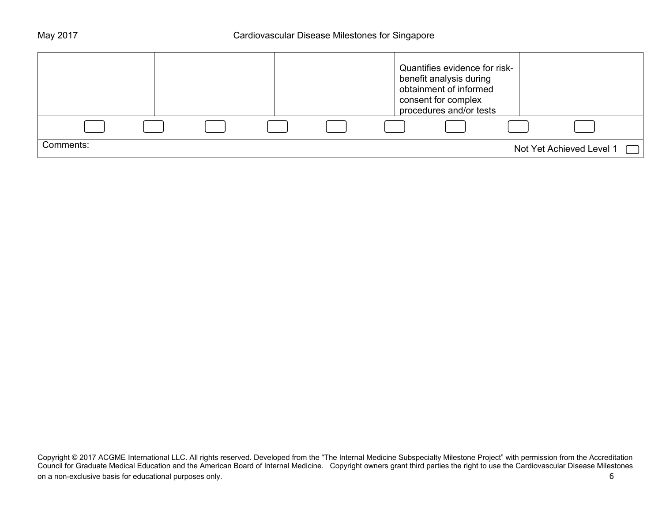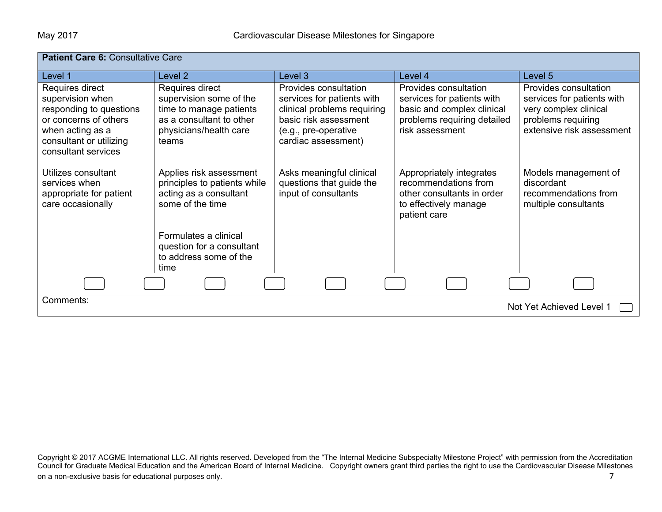| <b>Patient Care 6: Consultative Care</b>                                                                                                                      |                                                                                                                                      |                                                                                                                                                            |                                                                                                                                     |                                                                                                                                 |  |
|---------------------------------------------------------------------------------------------------------------------------------------------------------------|--------------------------------------------------------------------------------------------------------------------------------------|------------------------------------------------------------------------------------------------------------------------------------------------------------|-------------------------------------------------------------------------------------------------------------------------------------|---------------------------------------------------------------------------------------------------------------------------------|--|
| Level 1                                                                                                                                                       | Level 2                                                                                                                              | Level 3                                                                                                                                                    | Level 4                                                                                                                             | Level 5                                                                                                                         |  |
| Requires direct<br>supervision when<br>responding to questions<br>or concerns of others<br>when acting as a<br>consultant or utilizing<br>consultant services | Requires direct<br>supervision some of the<br>time to manage patients<br>as a consultant to other<br>physicians/health care<br>teams | Provides consultation<br>services for patients with<br>clinical problems requiring<br>basic risk assessment<br>(e.g., pre-operative<br>cardiac assessment) | Provides consultation<br>services for patients with<br>basic and complex clinical<br>problems requiring detailed<br>risk assessment | Provides consultation<br>services for patients with<br>very complex clinical<br>problems requiring<br>extensive risk assessment |  |
| Utilizes consultant<br>services when<br>appropriate for patient<br>care occasionally                                                                          | Applies risk assessment<br>principles to patients while<br>acting as a consultant<br>some of the time                                | Asks meaningful clinical<br>questions that guide the<br>input of consultants                                                                               | Appropriately integrates<br>recommendations from<br>other consultants in order<br>to effectively manage<br>patient care             | Models management of<br>discordant<br>recommendations from<br>multiple consultants                                              |  |
|                                                                                                                                                               | Formulates a clinical<br>question for a consultant<br>to address some of the<br>time                                                 |                                                                                                                                                            |                                                                                                                                     |                                                                                                                                 |  |
|                                                                                                                                                               |                                                                                                                                      |                                                                                                                                                            |                                                                                                                                     |                                                                                                                                 |  |
| Comments:                                                                                                                                                     |                                                                                                                                      |                                                                                                                                                            |                                                                                                                                     | Not Yet Achieved Level 1                                                                                                        |  |

Copyright © 2017 ACGME International LLC. All rights reserved. Developed from the "The Internal Medicine Subspecialty Milestone Project" with permission from the Accreditation Council for Graduate Medical Education and the American Board of Internal Medicine. Copyright owners grant third parties the right to use the Cardiovascular Disease Milestones on a non-exclusive basis for educational purposes only. The state of the state of the state of the state of the state of the state of the state of the state of the state of the state of the state of the state of the state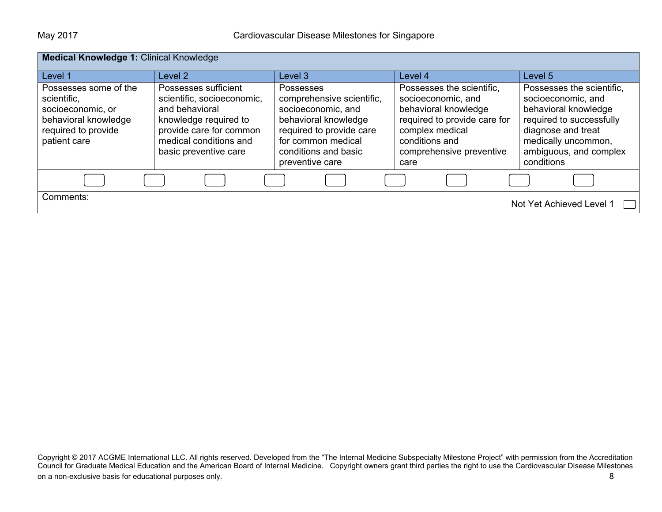| <b>Medical Knowledge 1: Clinical Knowledge</b>                                                                           |                                                                                                                                                                             |                                                                                                                                                                                          |                                                                                                                                                                                  |                                                                                                                                                                                          |
|--------------------------------------------------------------------------------------------------------------------------|-----------------------------------------------------------------------------------------------------------------------------------------------------------------------------|------------------------------------------------------------------------------------------------------------------------------------------------------------------------------------------|----------------------------------------------------------------------------------------------------------------------------------------------------------------------------------|------------------------------------------------------------------------------------------------------------------------------------------------------------------------------------------|
| Level 1                                                                                                                  | Level 2                                                                                                                                                                     | Level 3                                                                                                                                                                                  | Level 4                                                                                                                                                                          | Level 5                                                                                                                                                                                  |
| Possesses some of the<br>scientific,<br>socioeconomic, or<br>behavioral knowledge<br>required to provide<br>patient care | Possesses sufficient<br>scientific, socioeconomic,<br>and behavioral<br>knowledge required to<br>provide care for common<br>medical conditions and<br>basic preventive care | <b>Possesses</b><br>comprehensive scientific,<br>socioeconomic, and<br>behavioral knowledge<br>required to provide care<br>for common medical<br>conditions and basic<br>preventive care | Possesses the scientific,<br>socioeconomic, and<br>behavioral knowledge<br>required to provide care for<br>complex medical<br>conditions and<br>comprehensive preventive<br>care | Possesses the scientific,<br>socioeconomic, and<br>behavioral knowledge<br>required to successfully<br>diagnose and treat<br>medically uncommon,<br>ambiguous, and complex<br>conditions |
|                                                                                                                          |                                                                                                                                                                             |                                                                                                                                                                                          |                                                                                                                                                                                  |                                                                                                                                                                                          |
| Comments:                                                                                                                |                                                                                                                                                                             |                                                                                                                                                                                          |                                                                                                                                                                                  | Not Yet Achieved Level 1                                                                                                                                                                 |

Copyright © 2017 ACGME International LLC. All rights reserved. Developed from the "The Internal Medicine Subspecialty Milestone Project" with permission from the Accreditation Council for Graduate Medical Education and the American Board of Internal Medicine. Copyright owners grant third parties the right to use the Cardiovascular Disease Milestones on a non-exclusive basis for educational purposes only. **8** and the state of the state of the state of the state of the state of the state of the state of the state of the state of the state of the state of the state of th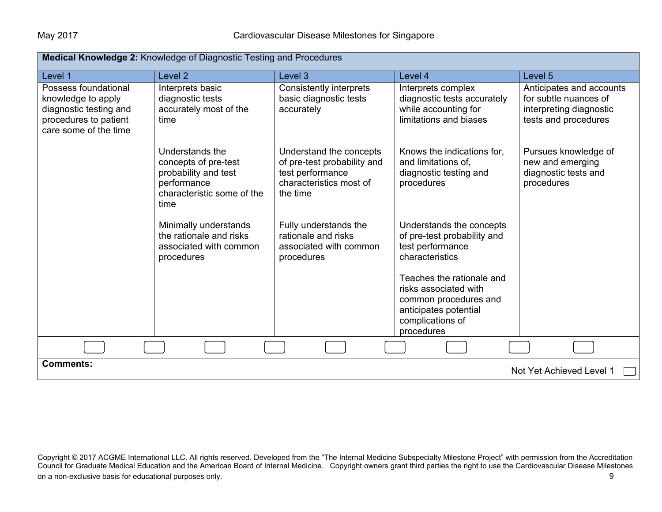| <b>Medical Knowledge 2:</b> Knowledge of Diagnostic Testing and Procedures                                             |                                                                                                                      |                                                                                                                   |                                                                                                                                        |                                                                                                      |  |
|------------------------------------------------------------------------------------------------------------------------|----------------------------------------------------------------------------------------------------------------------|-------------------------------------------------------------------------------------------------------------------|----------------------------------------------------------------------------------------------------------------------------------------|------------------------------------------------------------------------------------------------------|--|
| Level 1                                                                                                                | Level <sub>2</sub>                                                                                                   | Level <sub>3</sub>                                                                                                | Level 4                                                                                                                                | Level 5                                                                                              |  |
| Possess foundational<br>knowledge to apply<br>diagnostic testing and<br>procedures to patient<br>care some of the time | Interprets basic<br>diagnostic tests<br>accurately most of the<br>time                                               | Consistently interprets<br>basic diagnostic tests<br>accurately                                                   | Interprets complex<br>diagnostic tests accurately<br>while accounting for<br>limitations and biases                                    | Anticipates and accounts<br>for subtle nuances of<br>interpreting diagnostic<br>tests and procedures |  |
|                                                                                                                        | Understands the<br>concepts of pre-test<br>probability and test<br>performance<br>characteristic some of the<br>time | Understand the concepts<br>of pre-test probability and<br>test performance<br>characteristics most of<br>the time | Knows the indications for,<br>and limitations of,<br>diagnostic testing and<br>procedures                                              | Pursues knowledge of<br>new and emerging<br>diagnostic tests and<br>procedures                       |  |
|                                                                                                                        | Minimally understands<br>the rationale and risks<br>associated with common<br>procedures                             | Fully understands the<br>rationale and risks<br>associated with common<br>procedures                              | Understands the concepts<br>of pre-test probability and<br>test performance<br>characteristics                                         |                                                                                                      |  |
|                                                                                                                        |                                                                                                                      |                                                                                                                   | Teaches the rationale and<br>risks associated with<br>common procedures and<br>anticipates potential<br>complications of<br>procedures |                                                                                                      |  |
|                                                                                                                        |                                                                                                                      |                                                                                                                   |                                                                                                                                        |                                                                                                      |  |
| <b>Comments:</b><br>Not Yet Achieved Level 1                                                                           |                                                                                                                      |                                                                                                                   |                                                                                                                                        |                                                                                                      |  |

Copyright © 2017 ACGME International LLC. All rights reserved. Developed from the "The Internal Medicine Subspecialty Milestone Project" with permission from the Accreditation Council for Graduate Medical Education and the American Board of Internal Medicine. Copyright owners grant third parties the right to use the Cardiovascular Disease Milestones on a non-exclusive basis for educational purposes only. **Solutional example 20 and 20 and 20 and 20 and 20 and 20 and 20 and 20 and 20 and 20 and 20 and 20 and 20 and 20 and 20 and 20 and 20 and 20 and 20 and 20 and 20 and**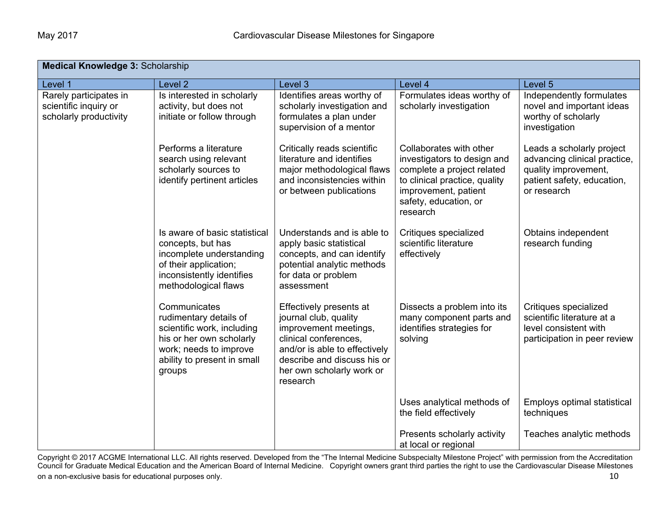| <b>Medical Knowledge 3: Scholarship</b>                                   |                                                                                                                                                                     |                                                                                                                                                                                                             |                                                                                                                                                                                    |                                                                                                                                |  |
|---------------------------------------------------------------------------|---------------------------------------------------------------------------------------------------------------------------------------------------------------------|-------------------------------------------------------------------------------------------------------------------------------------------------------------------------------------------------------------|------------------------------------------------------------------------------------------------------------------------------------------------------------------------------------|--------------------------------------------------------------------------------------------------------------------------------|--|
| Level 1                                                                   | Level <sub>2</sub>                                                                                                                                                  | Level 3                                                                                                                                                                                                     | Level 4                                                                                                                                                                            | Level 5                                                                                                                        |  |
| Rarely participates in<br>scientific inquiry or<br>scholarly productivity | Is interested in scholarly<br>activity, but does not<br>initiate or follow through                                                                                  | Identifies areas worthy of<br>scholarly investigation and<br>formulates a plan under<br>supervision of a mentor                                                                                             | Formulates ideas worthy of<br>scholarly investigation                                                                                                                              | Independently formulates<br>novel and important ideas<br>worthy of scholarly<br>investigation                                  |  |
|                                                                           | Performs a literature<br>search using relevant<br>scholarly sources to<br>identify pertinent articles                                                               | Critically reads scientific<br>literature and identifies<br>major methodological flaws<br>and inconsistencies within<br>or between publications                                                             | Collaborates with other<br>investigators to design and<br>complete a project related<br>to clinical practice, quality<br>improvement, patient<br>safety, education, or<br>research | Leads a scholarly project<br>advancing clinical practice,<br>quality improvement,<br>patient safety, education,<br>or research |  |
|                                                                           | Is aware of basic statistical<br>concepts, but has<br>incomplete understanding<br>of their application;<br>inconsistently identifies<br>methodological flaws        | Understands and is able to<br>apply basic statistical<br>concepts, and can identify<br>potential analytic methods<br>for data or problem<br>assessment                                                      | Critiques specialized<br>scientific literature<br>effectively                                                                                                                      | Obtains independent<br>research funding                                                                                        |  |
|                                                                           | Communicates<br>rudimentary details of<br>scientific work, including<br>his or her own scholarly<br>work; needs to improve<br>ability to present in small<br>groups | Effectively presents at<br>journal club, quality<br>improvement meetings,<br>clinical conferences,<br>and/or is able to effectively<br>describe and discuss his or<br>her own scholarly work or<br>research | Dissects a problem into its<br>many component parts and<br>identifies strategies for<br>solving                                                                                    | Critiques specialized<br>scientific literature at a<br>level consistent with<br>participation in peer review                   |  |
|                                                                           |                                                                                                                                                                     |                                                                                                                                                                                                             | Uses analytical methods of<br>the field effectively                                                                                                                                | Employs optimal statistical<br>techniques                                                                                      |  |
|                                                                           |                                                                                                                                                                     |                                                                                                                                                                                                             | Presents scholarly activity<br>at local or regional                                                                                                                                | Teaches analytic methods                                                                                                       |  |

Copyright © 2017 ACGME International LLC. All rights reserved. Developed from the "The Internal Medicine Subspecialty Milestone Project" with permission from the Accreditation Council for Graduate Medical Education and the American Board of Internal Medicine. Copyright owners grant third parties the right to use the Cardiovascular Disease Milestones on a non-exclusive basis for educational purposes only. **10** and the state of the state of the state of the state of the state of the state of the state of the state of the state of the state of the state of the state of t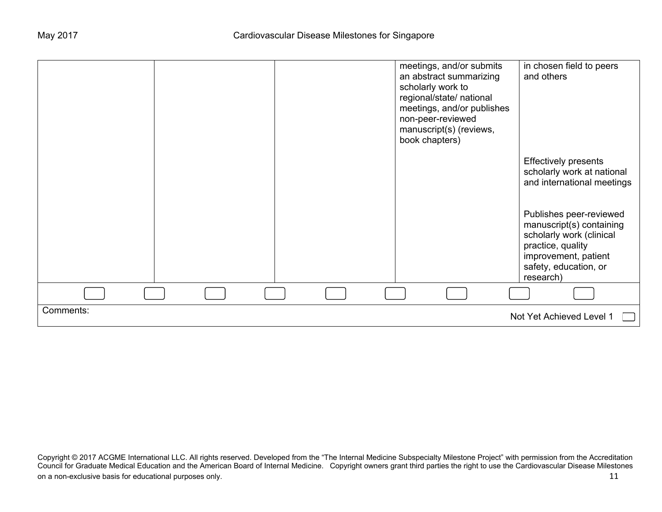|           |  | meetings, and/or submits<br>an abstract summarizing<br>scholarly work to<br>regional/state/ national<br>meetings, and/or publishes<br>non-peer-reviewed<br>manuscript(s) (reviews,<br>book chapters) | in chosen field to peers<br>and others                                                                                                                             |
|-----------|--|------------------------------------------------------------------------------------------------------------------------------------------------------------------------------------------------------|--------------------------------------------------------------------------------------------------------------------------------------------------------------------|
|           |  |                                                                                                                                                                                                      | <b>Effectively presents</b><br>scholarly work at national<br>and international meetings                                                                            |
|           |  |                                                                                                                                                                                                      | Publishes peer-reviewed<br>manuscript(s) containing<br>scholarly work (clinical<br>practice, quality<br>improvement, patient<br>safety, education, or<br>research) |
|           |  |                                                                                                                                                                                                      |                                                                                                                                                                    |
| Comments: |  |                                                                                                                                                                                                      | Not Yet Achieved Level 1                                                                                                                                           |

Copyright © 2017 ACGME International LLC. All rights reserved. Developed from the "The Internal Medicine Subspecialty Milestone Project" with permission from the Accreditation Council for Graduate Medical Education and the American Board of Internal Medicine. Copyright owners grant third parties the right to use the Cardiovascular Disease Milestones on a non-exclusive basis for educational purposes only. **11** and the state of the state of the state of the state of the state of the state of the state of the state of the state of the state of the state of the state of t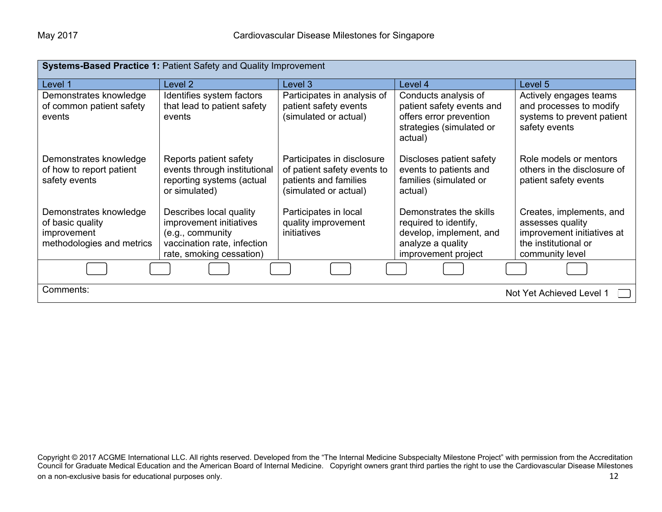| Systems-Based Practice 1: Patient Safety and Quality Improvement                       |                                                                                                                                   |                                                                                                             |                                                                                                                         |                                                                                                                       |
|----------------------------------------------------------------------------------------|-----------------------------------------------------------------------------------------------------------------------------------|-------------------------------------------------------------------------------------------------------------|-------------------------------------------------------------------------------------------------------------------------|-----------------------------------------------------------------------------------------------------------------------|
| Level 1                                                                                | Level 2                                                                                                                           | Level 3                                                                                                     | Level 4                                                                                                                 | Level 5                                                                                                               |
| Demonstrates knowledge<br>of common patient safety<br>events                           | Identifies system factors<br>that lead to patient safety<br>events                                                                | Participates in analysis of<br>patient safety events<br>(simulated or actual)                               | Conducts analysis of<br>patient safety events and<br>offers error prevention<br>strategies (simulated or<br>actual)     | Actively engages teams<br>and processes to modify<br>systems to prevent patient<br>safety events                      |
| Demonstrates knowledge<br>of how to report patient<br>safety events                    | Reports patient safety<br>events through institutional<br>reporting systems (actual<br>or simulated)                              | Participates in disclosure<br>of patient safety events to<br>patients and families<br>(simulated or actual) | Discloses patient safety<br>events to patients and<br>families (simulated or<br>actual)                                 | Role models or mentors<br>others in the disclosure of<br>patient safety events                                        |
| Demonstrates knowledge<br>of basic quality<br>improvement<br>methodologies and metrics | Describes local quality<br>improvement initiatives<br>(e.g., community<br>vaccination rate, infection<br>rate, smoking cessation) | Participates in local<br>quality improvement<br>initiatives                                                 | Demonstrates the skills<br>required to identify,<br>develop, implement, and<br>analyze a quality<br>improvement project | Creates, implements, and<br>assesses quality<br>improvement initiatives at<br>the institutional or<br>community level |
|                                                                                        |                                                                                                                                   |                                                                                                             |                                                                                                                         |                                                                                                                       |
| Comments:                                                                              |                                                                                                                                   |                                                                                                             |                                                                                                                         | Not Yet Achieved Level 1                                                                                              |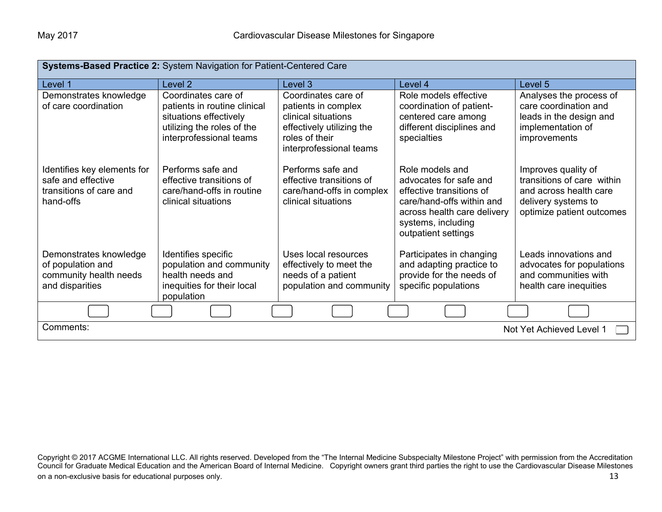| Systems-Based Practice 2: System Navigation for Patient-Centered Care                     |                                                                                                                                        |                                                                                                                                             |                                                                                                                                                                                |                                                                                                                                 |  |
|-------------------------------------------------------------------------------------------|----------------------------------------------------------------------------------------------------------------------------------------|---------------------------------------------------------------------------------------------------------------------------------------------|--------------------------------------------------------------------------------------------------------------------------------------------------------------------------------|---------------------------------------------------------------------------------------------------------------------------------|--|
| Level 1                                                                                   | Level <sub>2</sub>                                                                                                                     | Level 3                                                                                                                                     | Level 4                                                                                                                                                                        | Level 5                                                                                                                         |  |
| Demonstrates knowledge<br>of care coordination                                            | Coordinates care of<br>patients in routine clinical<br>situations effectively<br>utilizing the roles of the<br>interprofessional teams | Coordinates care of<br>patients in complex<br>clinical situations<br>effectively utilizing the<br>roles of their<br>interprofessional teams | Role models effective<br>coordination of patient-<br>centered care among<br>different disciplines and<br>specialties                                                           | Analyses the process of<br>care coordination and<br>leads in the design and<br>implementation of<br>improvements                |  |
| Identifies key elements for<br>safe and effective<br>transitions of care and<br>hand-offs | Performs safe and<br>effective transitions of<br>care/hand-offs in routine<br>clinical situations                                      | Performs safe and<br>effective transitions of<br>care/hand-offs in complex<br>clinical situations                                           | Role models and<br>advocates for safe and<br>effective transitions of<br>care/hand-offs within and<br>across health care delivery<br>systems, including<br>outpatient settings | Improves quality of<br>transitions of care within<br>and across health care<br>delivery systems to<br>optimize patient outcomes |  |
| Demonstrates knowledge<br>of population and<br>community health needs<br>and disparities  | Identifies specific<br>population and community<br>health needs and<br>inequities for their local<br>population                        | Uses local resources<br>effectively to meet the<br>needs of a patient<br>population and community                                           | Participates in changing<br>and adapting practice to<br>provide for the needs of<br>specific populations                                                                       | Leads innovations and<br>advocates for populations<br>and communities with<br>health care inequities                            |  |
|                                                                                           |                                                                                                                                        |                                                                                                                                             |                                                                                                                                                                                |                                                                                                                                 |  |
| Comments:<br>Not Yet Achieved Level 1                                                     |                                                                                                                                        |                                                                                                                                             |                                                                                                                                                                                |                                                                                                                                 |  |

Copyright © 2017 ACGME International LLC. All rights reserved. Developed from the "The Internal Medicine Subspecialty Milestone Project" with permission from the Accreditation Council for Graduate Medical Education and the American Board of Internal Medicine. Copyright owners grant third parties the right to use the Cardiovascular Disease Milestones on a non-exclusive basis for educational purposes only. **13** and the state of the state of the state of the state of the state of the state of the state of the state of the state of the state of the state of the state of t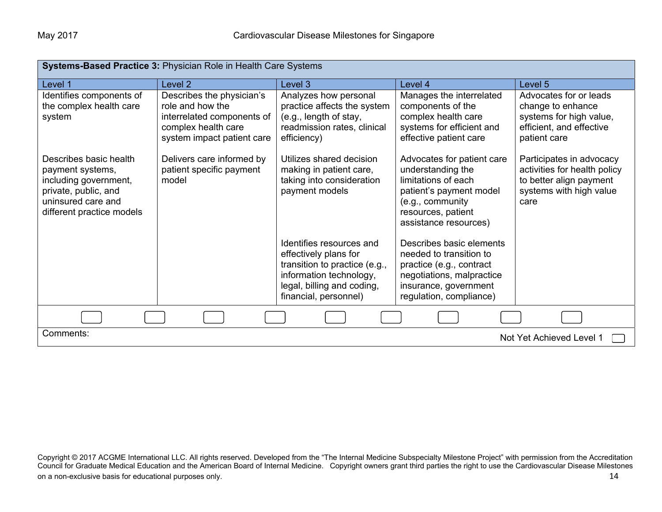| Systems-Based Practice 3: Physician Role in Health Care Systems                                                                                |                                                                                                                                  |                                                                                                                                                                      |                                                                                                                                                                      |                                                                                                                        |  |
|------------------------------------------------------------------------------------------------------------------------------------------------|----------------------------------------------------------------------------------------------------------------------------------|----------------------------------------------------------------------------------------------------------------------------------------------------------------------|----------------------------------------------------------------------------------------------------------------------------------------------------------------------|------------------------------------------------------------------------------------------------------------------------|--|
| Level 1                                                                                                                                        | Level <sub>2</sub>                                                                                                               | Level 3                                                                                                                                                              | Level 4                                                                                                                                                              | Level 5                                                                                                                |  |
| Identifies components of<br>the complex health care<br>system                                                                                  | Describes the physician's<br>role and how the<br>interrelated components of<br>complex health care<br>system impact patient care | Analyzes how personal<br>practice affects the system<br>(e.g., length of stay,<br>readmission rates, clinical<br>efficiency)                                         | Manages the interrelated<br>components of the<br>complex health care<br>systems for efficient and<br>effective patient care                                          | Advocates for or leads<br>change to enhance<br>systems for high value,<br>efficient, and effective<br>patient care     |  |
| Describes basic health<br>payment systems,<br>including government,<br>private, public, and<br>uninsured care and<br>different practice models | Delivers care informed by<br>patient specific payment<br>model                                                                   | Utilizes shared decision<br>making in patient care,<br>taking into consideration<br>payment models                                                                   | Advocates for patient care<br>understanding the<br>limitations of each<br>patient's payment model<br>(e.g., community<br>resources, patient<br>assistance resources) | Participates in advocacy<br>activities for health policy<br>to better align payment<br>systems with high value<br>care |  |
|                                                                                                                                                |                                                                                                                                  | Identifies resources and<br>effectively plans for<br>transition to practice (e.g.,<br>information technology,<br>legal, billing and coding,<br>financial, personnel) | Describes basic elements<br>needed to transition to<br>practice (e.g., contract<br>negotiations, malpractice<br>insurance, government<br>regulation, compliance)     |                                                                                                                        |  |
|                                                                                                                                                |                                                                                                                                  |                                                                                                                                                                      |                                                                                                                                                                      |                                                                                                                        |  |
| Comments:<br>Not Yet Achieved Level 1                                                                                                          |                                                                                                                                  |                                                                                                                                                                      |                                                                                                                                                                      |                                                                                                                        |  |

Copyright © 2017 ACGME International LLC. All rights reserved. Developed from the "The Internal Medicine Subspecialty Milestone Project" with permission from the Accreditation Council for Graduate Medical Education and the American Board of Internal Medicine. Copyright owners grant third parties the right to use the Cardiovascular Disease Milestones on a non-exclusive basis for educational purposes only. **14** and the state of the state of the state of the state of the state of the state of the state of the state of the state of the state of the state of the state of t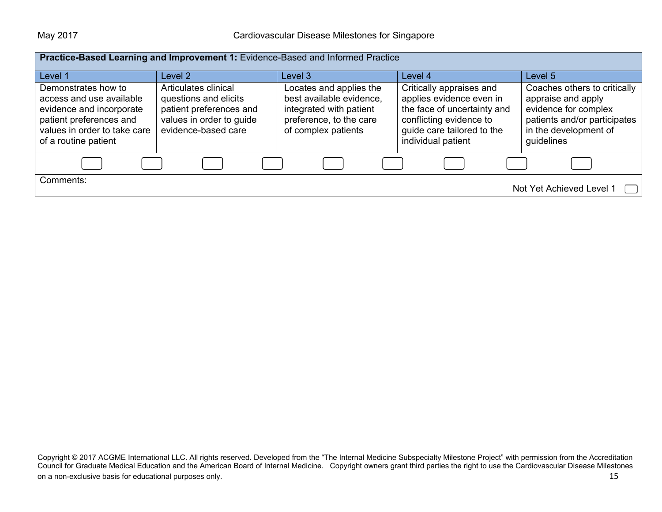| Practice-Based Learning and Improvement 1: Evidence-Based and Informed Practice                                                                                |                                                                                                                             |                                                                                                                                  |                                                                                                                                                                    |                                                                                                                                                   |  |  |
|----------------------------------------------------------------------------------------------------------------------------------------------------------------|-----------------------------------------------------------------------------------------------------------------------------|----------------------------------------------------------------------------------------------------------------------------------|--------------------------------------------------------------------------------------------------------------------------------------------------------------------|---------------------------------------------------------------------------------------------------------------------------------------------------|--|--|
| Level 1                                                                                                                                                        | Level 2                                                                                                                     | Level 3                                                                                                                          | Level 4                                                                                                                                                            | Level 5                                                                                                                                           |  |  |
| Demonstrates how to<br>access and use available<br>evidence and incorporate<br>patient preferences and<br>values in order to take care<br>of a routine patient | Articulates clinical<br>questions and elicits<br>patient preferences and<br>values in order to guide<br>evidence-based care | Locates and applies the<br>best available evidence,<br>integrated with patient<br>preference, to the care<br>of complex patients | Critically appraises and<br>applies evidence even in<br>the face of uncertainty and<br>conflicting evidence to<br>guide care tailored to the<br>individual patient | Coaches others to critically<br>appraise and apply<br>evidence for complex<br>patients and/or participates<br>in the development of<br>guidelines |  |  |
|                                                                                                                                                                |                                                                                                                             |                                                                                                                                  |                                                                                                                                                                    |                                                                                                                                                   |  |  |
| Comments:                                                                                                                                                      |                                                                                                                             |                                                                                                                                  |                                                                                                                                                                    | Not Yet Achieved Level 1                                                                                                                          |  |  |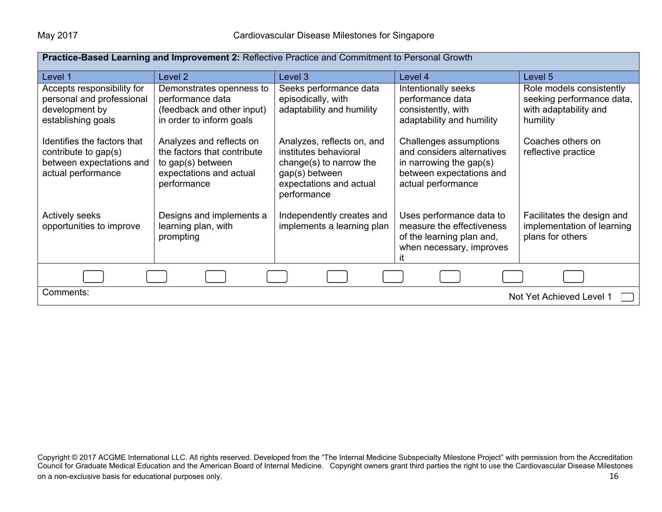| Practice-Based Learning and Improvement 2: Reflective Practice and Commitment to Personal Growth      |                                                                                                                        |                                                                                                                                            |                                                                                                                                      |                                                                                            |  |
|-------------------------------------------------------------------------------------------------------|------------------------------------------------------------------------------------------------------------------------|--------------------------------------------------------------------------------------------------------------------------------------------|--------------------------------------------------------------------------------------------------------------------------------------|--------------------------------------------------------------------------------------------|--|
| Level 1                                                                                               | Level 2                                                                                                                | Level 3                                                                                                                                    | Level 4                                                                                                                              | Level 5                                                                                    |  |
| Accepts responsibility for<br>personal and professional<br>development by<br>establishing goals       | Demonstrates openness to<br>performance data<br>(feedback and other input)<br>in order to inform goals                 | Seeks performance data<br>episodically, with<br>adaptability and humility                                                                  | Intentionally seeks<br>performance data<br>consistently, with<br>adaptability and humility                                           | Role models consistently<br>seeking performance data,<br>with adaptability and<br>humility |  |
| Identifies the factors that<br>contribute to gap(s)<br>between expectations and<br>actual performance | Analyzes and reflects on<br>the factors that contribute<br>to gap(s) between<br>expectations and actual<br>performance | Analyzes, reflects on, and<br>institutes behavioral<br>change(s) to narrow the<br>gap(s) between<br>expectations and actual<br>performance | Challenges assumptions<br>and considers alternatives<br>in narrowing the gap $(s)$<br>between expectations and<br>actual performance | Coaches others on<br>reflective practice                                                   |  |
| <b>Actively seeks</b><br>opportunities to improve                                                     | Designs and implements a<br>learning plan, with<br>prompting                                                           | Independently creates and<br>implements a learning plan                                                                                    | Uses performance data to<br>measure the effectiveness<br>of the learning plan and,<br>when necessary, improves                       | Facilitates the design and<br>implementation of learning<br>plans for others               |  |
|                                                                                                       |                                                                                                                        |                                                                                                                                            |                                                                                                                                      |                                                                                            |  |
| Comments:<br>Not Yet Achieved Level 1                                                                 |                                                                                                                        |                                                                                                                                            |                                                                                                                                      |                                                                                            |  |

Copyright © 2017 ACGME International LLC. All rights reserved. Developed from the "The Internal Medicine Subspecialty Milestone Project" with permission from the Accreditation Council for Graduate Medical Education and the American Board of Internal Medicine. Copyright owners grant third parties the right to use the Cardiovascular Disease Milestones on a non-exclusive basis for educational purposes only. **16** and the state of the state of the state of the state of the state of the state of the state of the state of the state of the state of the state of the state of t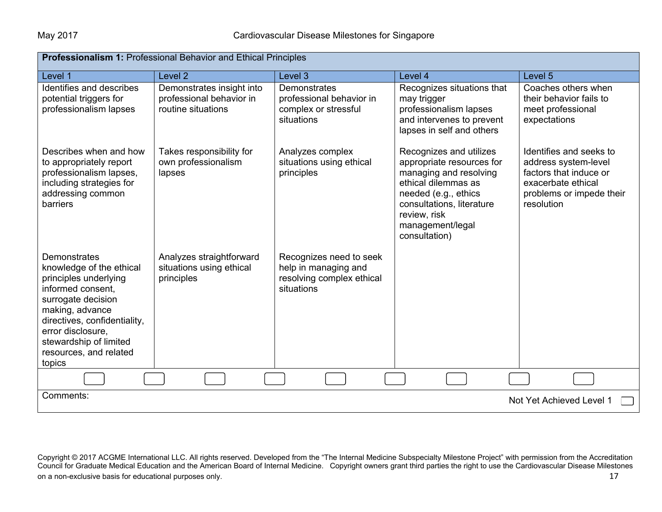| <b>Professionalism 1:</b> Professional Behavior and Ethical Principles                                                                                                                                                                             |                                                                             |                                                                                            |                                                                                                                                                                                                                 |                                                                                                                                           |  |
|----------------------------------------------------------------------------------------------------------------------------------------------------------------------------------------------------------------------------------------------------|-----------------------------------------------------------------------------|--------------------------------------------------------------------------------------------|-----------------------------------------------------------------------------------------------------------------------------------------------------------------------------------------------------------------|-------------------------------------------------------------------------------------------------------------------------------------------|--|
| Level 1                                                                                                                                                                                                                                            | Level <sub>2</sub>                                                          | Level 3                                                                                    | Level 4                                                                                                                                                                                                         | Level 5                                                                                                                                   |  |
| Identifies and describes<br>potential triggers for<br>professionalism lapses                                                                                                                                                                       | Demonstrates insight into<br>professional behavior in<br>routine situations | <b>Demonstrates</b><br>professional behavior in<br>complex or stressful<br>situations      | Recognizes situations that<br>may trigger<br>professionalism lapses<br>and intervenes to prevent<br>lapses in self and others                                                                                   | Coaches others when<br>their behavior fails to<br>meet professional<br>expectations                                                       |  |
| Describes when and how<br>to appropriately report<br>professionalism lapses,<br>including strategies for<br>addressing common<br>barriers                                                                                                          | Takes responsibility for<br>own professionalism<br>lapses                   | Analyzes complex<br>situations using ethical<br>principles                                 | Recognizes and utilizes<br>appropriate resources for<br>managing and resolving<br>ethical dilemmas as<br>needed (e.g., ethics<br>consultations, literature<br>review, risk<br>management/legal<br>consultation) | Identifies and seeks to<br>address system-level<br>factors that induce or<br>exacerbate ethical<br>problems or impede their<br>resolution |  |
| Demonstrates<br>knowledge of the ethical<br>principles underlying<br>informed consent.<br>surrogate decision<br>making, advance<br>directives, confidentiality,<br>error disclosure,<br>stewardship of limited<br>resources, and related<br>topics | Analyzes straightforward<br>situations using ethical<br>principles          | Recognizes need to seek<br>help in managing and<br>resolving complex ethical<br>situations |                                                                                                                                                                                                                 |                                                                                                                                           |  |
|                                                                                                                                                                                                                                                    |                                                                             |                                                                                            |                                                                                                                                                                                                                 |                                                                                                                                           |  |
| Comments:<br>Not Yet Achieved Level 1                                                                                                                                                                                                              |                                                                             |                                                                                            |                                                                                                                                                                                                                 |                                                                                                                                           |  |

Copyright © 2017 ACGME International LLC. All rights reserved. Developed from the "The Internal Medicine Subspecialty Milestone Project" with permission from the Accreditation Council for Graduate Medical Education and the American Board of Internal Medicine. Copyright owners grant third parties the right to use the Cardiovascular Disease Milestones on a non-exclusive basis for educational purposes only. **17** and the state of the state of the state of the state of the state of the state of the state of the state of the state of the state of the state of the state of t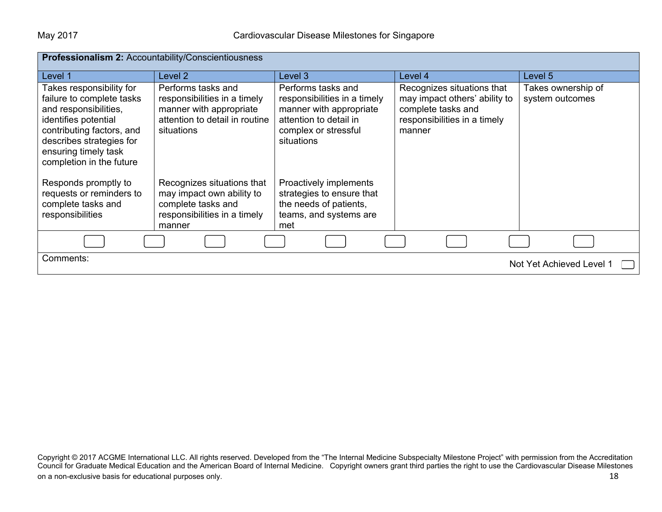| <b>Professionalism 2: Accountability/Conscientiousness</b>                                                                                                                                                          |                                                                                                                               |                                                                                                                                               |                                                                                                                             |                                       |  |  |
|---------------------------------------------------------------------------------------------------------------------------------------------------------------------------------------------------------------------|-------------------------------------------------------------------------------------------------------------------------------|-----------------------------------------------------------------------------------------------------------------------------------------------|-----------------------------------------------------------------------------------------------------------------------------|---------------------------------------|--|--|
| Level 1                                                                                                                                                                                                             | Level 2                                                                                                                       | Level 3                                                                                                                                       | Level 4                                                                                                                     | Level 5                               |  |  |
| Takes responsibility for<br>failure to complete tasks<br>and responsibilities,<br>identifies potential<br>contributing factors, and<br>describes strategies for<br>ensuring timely task<br>completion in the future | Performs tasks and<br>responsibilities in a timely<br>manner with appropriate<br>attention to detail in routine<br>situations | Performs tasks and<br>responsibilities in a timely<br>manner with appropriate<br>attention to detail in<br>complex or stressful<br>situations | Recognizes situations that<br>may impact others' ability to<br>complete tasks and<br>responsibilities in a timely<br>manner | Takes ownership of<br>system outcomes |  |  |
| Responds promptly to<br>requests or reminders to<br>complete tasks and<br>responsibilities                                                                                                                          | Recognizes situations that<br>may impact own ability to<br>complete tasks and<br>responsibilities in a timely<br>manner       | Proactively implements<br>strategies to ensure that<br>the needs of patients,<br>teams, and systems are<br>met                                |                                                                                                                             |                                       |  |  |
|                                                                                                                                                                                                                     |                                                                                                                               |                                                                                                                                               |                                                                                                                             |                                       |  |  |
| Comments:<br>Not Yet Achieved Level 1                                                                                                                                                                               |                                                                                                                               |                                                                                                                                               |                                                                                                                             |                                       |  |  |

Copyright © 2017 ACGME International LLC. All rights reserved. Developed from the "The Internal Medicine Subspecialty Milestone Project" with permission from the Accreditation Council for Graduate Medical Education and the American Board of Internal Medicine. Copyright owners grant third parties the right to use the Cardiovascular Disease Milestones on a non-exclusive basis for educational purposes only. **18** and the state of the state of the state of the state of the state of the state of the state of the state of the state of the state of the state of the state of t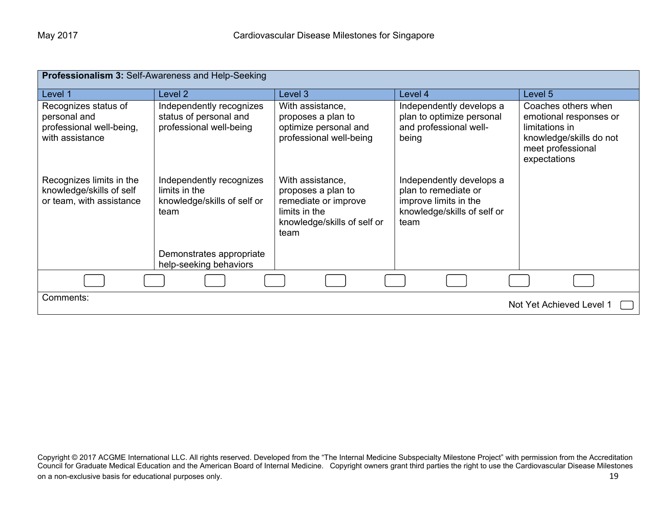| Professionalism 3: Self-Awareness and Help-Seeking                                  |                                                                                  |                                                                                                                        |                                                                                                                  |                                                                                                                                 |  |  |
|-------------------------------------------------------------------------------------|----------------------------------------------------------------------------------|------------------------------------------------------------------------------------------------------------------------|------------------------------------------------------------------------------------------------------------------|---------------------------------------------------------------------------------------------------------------------------------|--|--|
| Level 1                                                                             | Level <sub>2</sub>                                                               | Level 3                                                                                                                | Level 4                                                                                                          | Level 5                                                                                                                         |  |  |
| Recognizes status of<br>personal and<br>professional well-being,<br>with assistance | Independently recognizes<br>status of personal and<br>professional well-being    | With assistance,<br>proposes a plan to<br>optimize personal and<br>professional well-being                             | Independently develops a<br>plan to optimize personal<br>and professional well-<br>being                         | Coaches others when<br>emotional responses or<br>limitations in<br>knowledge/skills do not<br>meet professional<br>expectations |  |  |
| Recognizes limits in the<br>knowledge/skills of self<br>or team, with assistance    | Independently recognizes<br>limits in the<br>knowledge/skills of self or<br>team | With assistance,<br>proposes a plan to<br>remediate or improve<br>limits in the<br>knowledge/skills of self or<br>team | Independently develops a<br>plan to remediate or<br>improve limits in the<br>knowledge/skills of self or<br>team |                                                                                                                                 |  |  |
|                                                                                     | Demonstrates appropriate<br>help-seeking behaviors                               |                                                                                                                        |                                                                                                                  |                                                                                                                                 |  |  |
|                                                                                     |                                                                                  |                                                                                                                        |                                                                                                                  |                                                                                                                                 |  |  |
| Comments:                                                                           |                                                                                  |                                                                                                                        |                                                                                                                  | Not Yet Achieved Level 1                                                                                                        |  |  |

Copyright © 2017 ACGME International LLC. All rights reserved. Developed from the "The Internal Medicine Subspecialty Milestone Project" with permission from the Accreditation Council for Graduate Medical Education and the American Board of Internal Medicine. Copyright owners grant third parties the right to use the Cardiovascular Disease Milestones on a non-exclusive basis for educational purposes only. **19** and the state of the state of the state of the state of the state of the state of the state of the state of the state of the state of the state of the state of t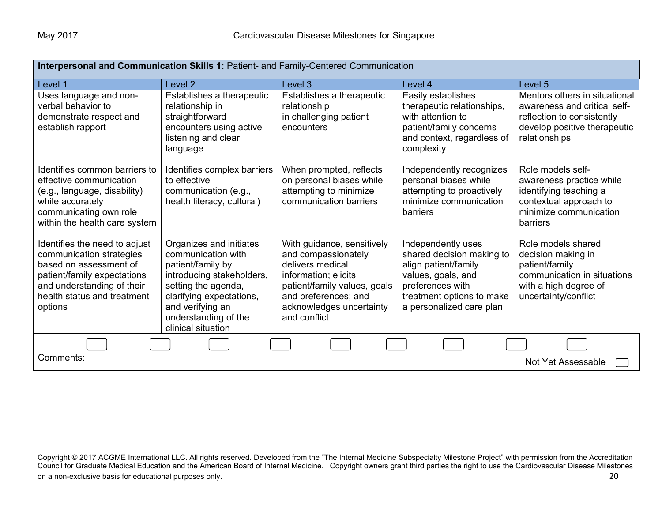| Interpersonal and Communication Skills 1: Patient- and Family-Centered Communication                                                                                                       |                                                                                                                                                                                                                      |                                                                                                                                                                                                   |                                                                                                                                                                            |                                                                                                                                              |  |
|--------------------------------------------------------------------------------------------------------------------------------------------------------------------------------------------|----------------------------------------------------------------------------------------------------------------------------------------------------------------------------------------------------------------------|---------------------------------------------------------------------------------------------------------------------------------------------------------------------------------------------------|----------------------------------------------------------------------------------------------------------------------------------------------------------------------------|----------------------------------------------------------------------------------------------------------------------------------------------|--|
| Level 1                                                                                                                                                                                    | Level <sub>2</sub>                                                                                                                                                                                                   | Level 3                                                                                                                                                                                           | Level 4                                                                                                                                                                    | Level 5                                                                                                                                      |  |
| Uses language and non-<br>verbal behavior to<br>demonstrate respect and<br>establish rapport                                                                                               | Establishes a therapeutic<br>relationship in<br>straightforward<br>encounters using active<br>listening and clear<br>language                                                                                        | Establishes a therapeutic<br>relationship<br>in challenging patient<br>encounters                                                                                                                 | Easily establishes<br>therapeutic relationships,<br>with attention to<br>patient/family concerns<br>and context, regardless of<br>complexity                               | Mentors others in situational<br>awareness and critical self-<br>reflection to consistently<br>develop positive therapeutic<br>relationships |  |
| Identifies common barriers to<br>effective communication<br>(e.g., language, disability)<br>while accurately<br>communicating own role<br>within the health care system                    | Identifies complex barriers<br>to effective<br>communication (e.g.,<br>health literacy, cultural)                                                                                                                    | When prompted, reflects<br>on personal biases while<br>attempting to minimize<br>communication barriers                                                                                           | Independently recognizes<br>personal biases while<br>attempting to proactively<br>minimize communication<br>barriers                                                       | Role models self-<br>awareness practice while<br>identifying teaching a<br>contextual approach to<br>minimize communication<br>barriers      |  |
| Identifies the need to adjust<br>communication strategies<br>based on assessment of<br>patient/family expectations<br>and understanding of their<br>health status and treatment<br>options | Organizes and initiates<br>communication with<br>patient/family by<br>introducing stakeholders,<br>setting the agenda,<br>clarifying expectations,<br>and verifying an<br>understanding of the<br>clinical situation | With guidance, sensitively<br>and compassionately<br>delivers medical<br>information; elicits<br>patient/family values, goals<br>and preferences; and<br>acknowledges uncertainty<br>and conflict | Independently uses<br>shared decision making to<br>align patient/family<br>values, goals, and<br>preferences with<br>treatment options to make<br>a personalized care plan | Role models shared<br>decision making in<br>patient/family<br>communication in situations<br>with a high degree of<br>uncertainty/conflict   |  |
|                                                                                                                                                                                            |                                                                                                                                                                                                                      |                                                                                                                                                                                                   |                                                                                                                                                                            |                                                                                                                                              |  |
| Comments:<br>Not Yet Assessable                                                                                                                                                            |                                                                                                                                                                                                                      |                                                                                                                                                                                                   |                                                                                                                                                                            |                                                                                                                                              |  |

Copyright © 2017 ACGME International LLC. All rights reserved. Developed from the "The Internal Medicine Subspecialty Milestone Project" with permission from the Accreditation Council for Graduate Medical Education and the American Board of Internal Medicine. Copyright owners grant third parties the right to use the Cardiovascular Disease Milestones on a non-exclusive basis for educational purposes only. **20** and the state of the state of the state of the state of the state of the state of the state of the state of the state of the state of the state of the state of t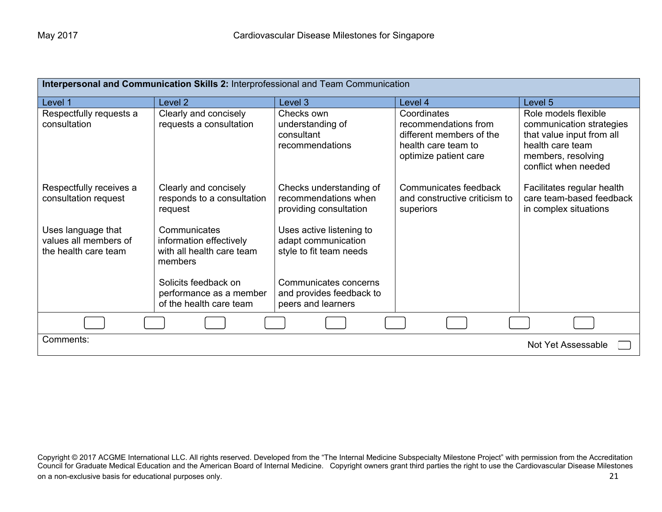| Interpersonal and Communication Skills 2: Interprofessional and Team Communication |                                                                                 |                                                                            |                                                                                                                 |                                                                                                                                                 |  |
|------------------------------------------------------------------------------------|---------------------------------------------------------------------------------|----------------------------------------------------------------------------|-----------------------------------------------------------------------------------------------------------------|-------------------------------------------------------------------------------------------------------------------------------------------------|--|
| Level 1                                                                            | Level 2                                                                         | Level 3                                                                    | Level 4                                                                                                         | Level 5                                                                                                                                         |  |
| Respectfully requests a<br>consultation                                            | Clearly and concisely<br>requests a consultation                                | Checks own<br>understanding of<br>consultant<br>recommendations            | Coordinates<br>recommendations from<br>different members of the<br>health care team to<br>optimize patient care | Role models flexible<br>communication strategies<br>that value input from all<br>health care team<br>members, resolving<br>conflict when needed |  |
| Respectfully receives a<br>consultation request                                    | Clearly and concisely<br>responds to a consultation<br>request                  | Checks understanding of<br>recommendations when<br>providing consultation  | Communicates feedback<br>and constructive criticism to<br>superiors                                             | Facilitates regular health<br>care team-based feedback<br>in complex situations                                                                 |  |
| Uses language that<br>values all members of<br>the health care team                | Communicates<br>information effectively<br>with all health care team<br>members | Uses active listening to<br>adapt communication<br>style to fit team needs |                                                                                                                 |                                                                                                                                                 |  |
|                                                                                    | Solicits feedback on<br>performance as a member<br>of the health care team      | Communicates concerns<br>and provides feedback to<br>peers and learners    |                                                                                                                 |                                                                                                                                                 |  |
|                                                                                    |                                                                                 |                                                                            |                                                                                                                 |                                                                                                                                                 |  |
| Comments:                                                                          |                                                                                 |                                                                            |                                                                                                                 | Not Yet Assessable                                                                                                                              |  |

Copyright © 2017 ACGME International LLC. All rights reserved. Developed from the "The Internal Medicine Subspecialty Milestone Project" with permission from the Accreditation Council for Graduate Medical Education and the American Board of Internal Medicine. Copyright owners grant third parties the right to use the Cardiovascular Disease Milestones on a non-exclusive basis for educational purposes only. **21** and the state of the state of the state of the state of the state of the state of the state of the state of the state of the state of the state of the state of t